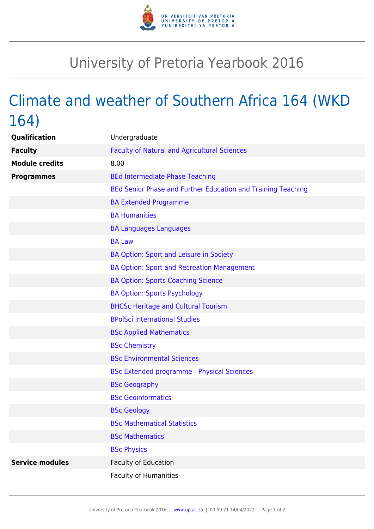

## University of Pretoria Yearbook 2016

## Climate and weather of Southern Africa 164 (WKD 164)

| Qualification          | Undergraduate                                                |
|------------------------|--------------------------------------------------------------|
| <b>Faculty</b>         | <b>Faculty of Natural and Agricultural Sciences</b>          |
| <b>Module credits</b>  | 8.00                                                         |
| <b>Programmes</b>      | <b>BEd Intermediate Phase Teaching</b>                       |
|                        | BEd Senior Phase and Further Education and Training Teaching |
|                        | <b>BA Extended Programme</b>                                 |
|                        | <b>BA Humanities</b>                                         |
|                        | <b>BA Languages Languages</b>                                |
|                        | <b>BA Law</b>                                                |
|                        | BA Option: Sport and Leisure in Society                      |
|                        | <b>BA Option: Sport and Recreation Management</b>            |
|                        | <b>BA Option: Sports Coaching Science</b>                    |
|                        | <b>BA Option: Sports Psychology</b>                          |
|                        | <b>BHCSc Heritage and Cultural Tourism</b>                   |
|                        | <b>BPolSci International Studies</b>                         |
|                        | <b>BSc Applied Mathematics</b>                               |
|                        | <b>BSc Chemistry</b>                                         |
|                        | <b>BSc Environmental Sciences</b>                            |
|                        | <b>BSc Extended programme - Physical Sciences</b>            |
|                        | <b>BSc Geography</b>                                         |
|                        | <b>BSc Geoinformatics</b>                                    |
|                        | <b>BSc Geology</b>                                           |
|                        | <b>BSc Mathematical Statistics</b>                           |
|                        | <b>BSc Mathematics</b>                                       |
|                        | <b>BSc Physics</b>                                           |
| <b>Service modules</b> | <b>Faculty of Education</b>                                  |
|                        | <b>Faculty of Humanities</b>                                 |